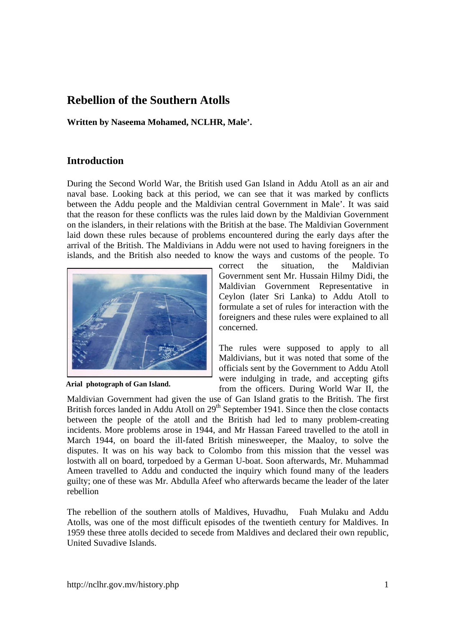# **Rebellion of the Southern Atolls**

**Written by Naseema Mohamed, NCLHR, Male'.** 

### **Introduction**

During the Second World War, the British used Gan Island in Addu Atoll as an air and naval base. Looking back at this period, we can see that it was marked by conflicts between the Addu people and the Maldivian central Government in Male'. It was said that the reason for these conflicts was the rules laid down by the Maldivian Government on the islanders, in their relations with the British at the base. The Maldivian Government laid down these rules because of problems encountered during the early days after the arrival of the British. The Maldivians in Addu were not used to having foreigners in the islands, and the British also needed to know the ways and customs of the people. To



**Arial photograph of Gan Island.** 

correct the situation, the Maldivian Government sent Mr. Hussain Hilmy Didi, the Maldivian Government Representative in Ceylon (later Sri Lanka) to Addu Atoll to formulate a set of rules for interaction with the foreigners and these rules were explained to all concerned.

The rules were supposed to apply to all Maldivians, but it was noted that some of the officials sent by the Government to Addu Atoll were indulging in trade, and accepting gifts from the officers. During World War II, the

Maldivian Government had given the use of Gan Island gratis to the British. The first British forces landed in Addu Atoll on 29<sup>th</sup> September 1941. Since then the close contacts between the people of the atoll and the British had led to many problem-creating incidents. More problems arose in 1944, and Mr Hassan Fareed travelled to the atoll in March 1944, on board the ill-fated British minesweeper, the Maaloy, to solve the disputes. It was on his way back to Colombo from this mission that the vessel was lostwith all on board, torpedoed by a German U-boat. Soon afterwards, Mr. Muhammad Ameen travelled to Addu and conducted the inquiry which found many of the leaders guilty; one of these was Mr. Abdulla Afeef who afterwards became the leader of the later rebellion

The rebellion of the southern atolls of Maldives, Huvadhu, Fuah Mulaku and Addu Atolls, was one of the most difficult episodes of the twentieth century for Maldives. In 1959 these three atolls decided to secede from Maldives and declared their own republic, United Suvadive Islands.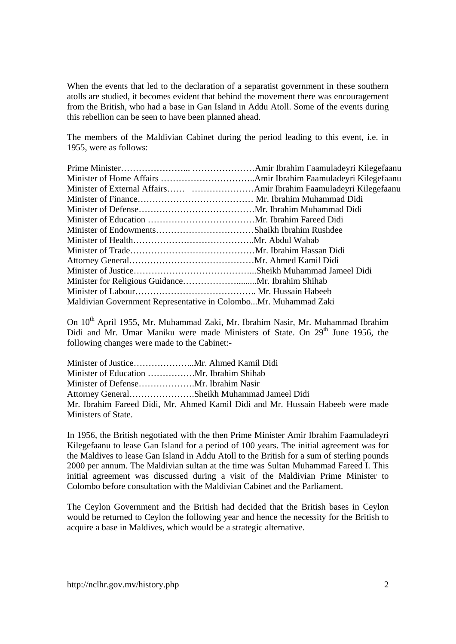When the events that led to the declaration of a separatist government in these southern atolls are studied, it becomes evident that behind the movement there was encouragement from the British, who had a base in Gan Island in Addu Atoll. Some of the events during this rebellion can be seen to have been planned ahead.

The members of the Maldivian Cabinet during the period leading to this event, i.e. in 1955, were as follows:

| Maldivian Government Representative in ColomboMr. Muhammad Zaki |  |
|-----------------------------------------------------------------|--|

On 10<sup>th</sup> April 1955, Mr. Muhammad Zaki, Mr. Ibrahim Nasir, Mr. Muhammad Ibrahim Didi and Mr. Umar Maniku were made Ministers of State. On 29<sup>th</sup> June 1956, the following changes were made to the Cabinet:-

|                     | Attorney GeneralSheikh Muhammad Jameel Didi                                    |
|---------------------|--------------------------------------------------------------------------------|
|                     | Mr. Ibrahim Fareed Didi, Mr. Ahmed Kamil Didi and Mr. Hussain Habeeb were made |
| Ministers of State. |                                                                                |

In 1956, the British negotiated with the then Prime Minister Amir Ibrahim Faamuladeyri Kilegefaanu to lease Gan Island for a period of 100 years. The initial agreement was for the Maldives to lease Gan Island in Addu Atoll to the British for a sum of sterling pounds 2000 per annum. The Maldivian sultan at the time was Sultan Muhammad Fareed I. This initial agreement was discussed during a visit of the Maldivian Prime Minister to Colombo before consultation with the Maldivian Cabinet and the Parliament.

The Ceylon Government and the British had decided that the British bases in Ceylon would be returned to Ceylon the following year and hence the necessity for the British to acquire a base in Maldives, which would be a strategic alternative.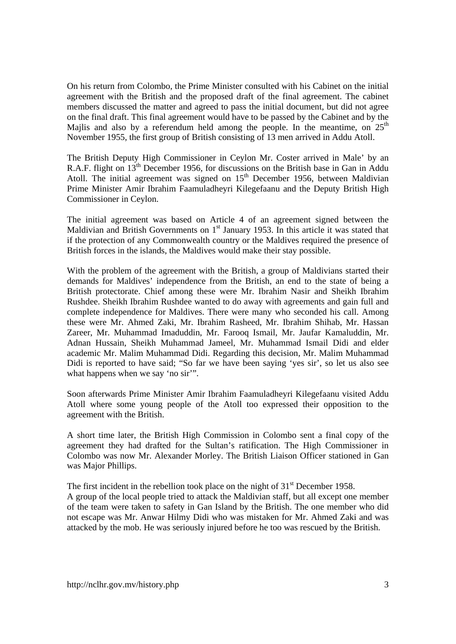On his return from Colombo, the Prime Minister consulted with his Cabinet on the initial agreement with the British and the proposed draft of the final agreement. The cabinet members discussed the matter and agreed to pass the initial document, but did not agree on the final draft. This final agreement would have to be passed by the Cabinet and by the Majlis and also by a referendum held among the people. In the meantime, on  $25<sup>th</sup>$ November 1955, the first group of British consisting of 13 men arrived in Addu Atoll.

The British Deputy High Commissioner in Ceylon Mr. Coster arrived in Male' by an R.A.F. flight on 13<sup>th</sup> December 1956, for discussions on the British base in Gan in Addu Atoll. The initial agreement was signed on  $15<sup>th</sup>$  December 1956, between Maldivian Prime Minister Amir Ibrahim Faamuladheyri Kilegefaanu and the Deputy British High Commissioner in Ceylon.

The initial agreement was based on Article 4 of an agreement signed between the Maldivian and British Governments on  $1<sup>st</sup>$  January 1953. In this article it was stated that if the protection of any Commonwealth country or the Maldives required the presence of British forces in the islands, the Maldives would make their stay possible.

With the problem of the agreement with the British, a group of Maldivians started their demands for Maldives' independence from the British, an end to the state of being a British protectorate. Chief among these were Mr. Ibrahim Nasir and Sheikh Ibrahim Rushdee. Sheikh Ibrahim Rushdee wanted to do away with agreements and gain full and complete independence for Maldives. There were many who seconded his call. Among these were Mr. Ahmed Zaki, Mr. Ibrahim Rasheed, Mr. Ibrahim Shihab, Mr. Hassan Zareer, Mr. Muhammad Imaduddin, Mr. Farooq Ismail, Mr. Jaufar Kamaluddin, Mr. Adnan Hussain, Sheikh Muhammad Jameel, Mr. Muhammad Ismail Didi and elder academic Mr. Malim Muhammad Didi. Regarding this decision, Mr. Malim Muhammad Didi is reported to have said; "So far we have been saying 'yes sir', so let us also see what happens when we say 'no sir'".

Soon afterwards Prime Minister Amir Ibrahim Faamuladheyri Kilegefaanu visited Addu Atoll where some young people of the Atoll too expressed their opposition to the agreement with the British.

A short time later, the British High Commission in Colombo sent a final copy of the agreement they had drafted for the Sultan's ratification. The High Commissioner in Colombo was now Mr. Alexander Morley. The British Liaison Officer stationed in Gan was Major Phillips.

The first incident in the rebellion took place on the night of  $31<sup>st</sup>$  December 1958.

A group of the local people tried to attack the Maldivian staff, but all except one member of the team were taken to safety in Gan Island by the British. The one member who did not escape was Mr. Anwar Hilmy Didi who was mistaken for Mr. Ahmed Zaki and was attacked by the mob. He was seriously injured before he too was rescued by the British.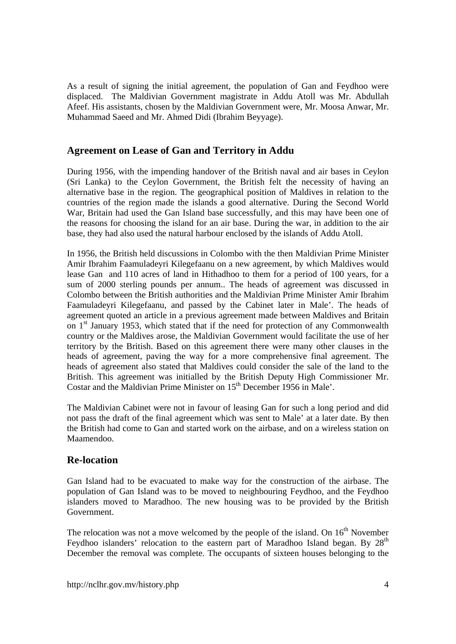As a result of signing the initial agreement, the population of Gan and Feydhoo were displaced. The Maldivian Government magistrate in Addu Atoll was Mr. Abdullah Afeef. His assistants, chosen by the Maldivian Government were, Mr. Moosa Anwar, Mr. Muhammad Saeed and Mr. Ahmed Didi (Ibrahim Beyyage).

### **Agreement on Lease of Gan and Territory in Addu**

During 1956, with the impending handover of the British naval and air bases in Ceylon (Sri Lanka) to the Ceylon Government, the British felt the necessity of having an alternative base in the region. The geographical position of Maldives in relation to the countries of the region made the islands a good alternative. During the Second World War, Britain had used the Gan Island base successfully, and this may have been one of the reasons for choosing the island for an air base. During the war, in addition to the air base, they had also used the natural harbour enclosed by the islands of Addu Atoll.

In 1956, the British held discussions in Colombo with the then Maldivian Prime Minister Amir Ibrahim Faamuladeyri Kilegefaanu on a new agreement, by which Maldives would lease Gan and 110 acres of land in Hithadhoo to them for a period of 100 years, for a sum of 2000 sterling pounds per annum.. The heads of agreement was discussed in Colombo between the British authorities and the Maldivian Prime Minister Amir Ibrahim Faamuladeyri Kilegefaanu, and passed by the Cabinet later in Male'. The heads of agreement quoted an article in a previous agreement made between Maldives and Britain on 1<sup>st</sup> January 1953, which stated that if the need for protection of any Commonwealth country or the Maldives arose, the Maldivian Government would facilitate the use of her territory by the British. Based on this agreement there were many other clauses in the heads of agreement, paving the way for a more comprehensive final agreement. The heads of agreement also stated that Maldives could consider the sale of the land to the British. This agreement was initialled by the British Deputy High Commissioner Mr. Costar and the Maldivian Prime Minister on  $15<sup>th</sup>$  December 1956 in Male'.

The Maldivian Cabinet were not in favour of leasing Gan for such a long period and did not pass the draft of the final agreement which was sent to Male' at a later date. By then the British had come to Gan and started work on the airbase, and on a wireless station on Maamendoo.

### **Re-location**

Gan Island had to be evacuated to make way for the construction of the airbase. The population of Gan Island was to be moved to neighbouring Feydhoo, and the Feydhoo islanders moved to Maradhoo. The new housing was to be provided by the British Government.

The relocation was not a move welcomed by the people of the island. On  $16<sup>th</sup>$  November Feydhoo islanders' relocation to the eastern part of Maradhoo Island began. By  $28<sup>th</sup>$ December the removal was complete. The occupants of sixteen houses belonging to the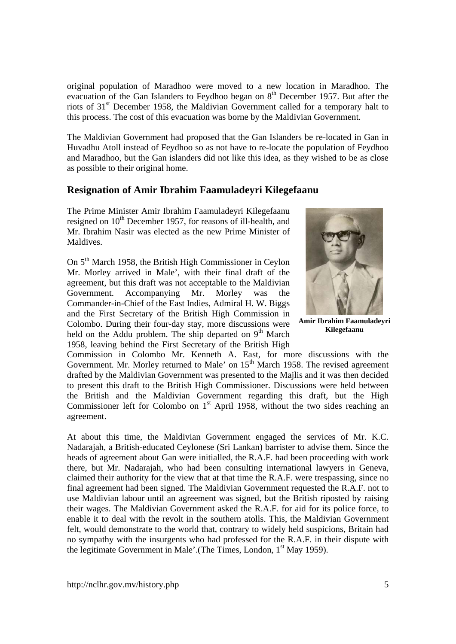original population of Maradhoo were moved to a new location in Maradhoo. The evacuation of the Gan Islanders to Feydhoo began on  $8<sup>th</sup>$  December 1957. But after the riots of 31<sup>st</sup> December 1958, the Maldivian Government called for a temporary halt to this process. The cost of this evacuation was borne by the Maldivian Government.

The Maldivian Government had proposed that the Gan Islanders be re-located in Gan in Huvadhu Atoll instead of Feydhoo so as not have to re-locate the population of Feydhoo and Maradhoo, but the Gan islanders did not like this idea, as they wished to be as close as possible to their original home.

### **Resignation of Amir Ibrahim Faamuladeyri Kilegefaanu**

The Prime Minister Amir Ibrahim Faamuladeyri Kilegefaanu resigned on  $10<sup>th</sup>$  December 1957, for reasons of ill-health, and Mr. Ibrahim Nasir was elected as the new Prime Minister of Maldives.

On 5th March 1958, the British High Commissioner in Ceylon Mr. Morley arrived in Male', with their final draft of the agreement, but this draft was not acceptable to the Maldivian Government. Accompanying Mr. Morley was the Commander-in-Chief of the East Indies, Admiral H. W. Biggs and the First Secretary of the British High Commission in Colombo. During their four-day stay, more discussions were held on the Addu problem. The ship departed on  $9<sup>th</sup>$  March 1958, leaving behind the First Secretary of the British High



**Amir Ibrahim Faamuladeyri Kilegefaanu** 

Commission in Colombo Mr. Kenneth A. East, for more discussions with the Government. Mr. Morley returned to Male' on 15<sup>th</sup> March 1958. The revised agreement drafted by the Maldivian Government was presented to the Majlis and it was then decided to present this draft to the British High Commissioner. Discussions were held between the British and the Maldivian Government regarding this draft, but the High Commissioner left for Colombo on  $1<sup>st</sup>$  April 1958, without the two sides reaching an agreement.

At about this time, the Maldivian Government engaged the services of Mr. K.C. Nadarajah, a British-educated Ceylonese (Sri Lankan) barrister to advise them. Since the heads of agreement about Gan were initialled, the R.A.F. had been proceeding with work there, but Mr. Nadarajah, who had been consulting international lawyers in Geneva, claimed their authority for the view that at that time the R.A.F. were trespassing, since no final agreement had been signed. The Maldivian Government requested the R.A.F. not to use Maldivian labour until an agreement was signed, but the British riposted by raising their wages. The Maldivian Government asked the R.A.F. for aid for its police force, to enable it to deal with the revolt in the southern atolls. This, the Maldivian Government felt, would demonstrate to the world that, contrary to widely held suspicions, Britain had no sympathy with the insurgents who had professed for the R.A.F. in their dispute with the legitimate Government in Male'.(The Times, London, 1<sup>st</sup> May 1959).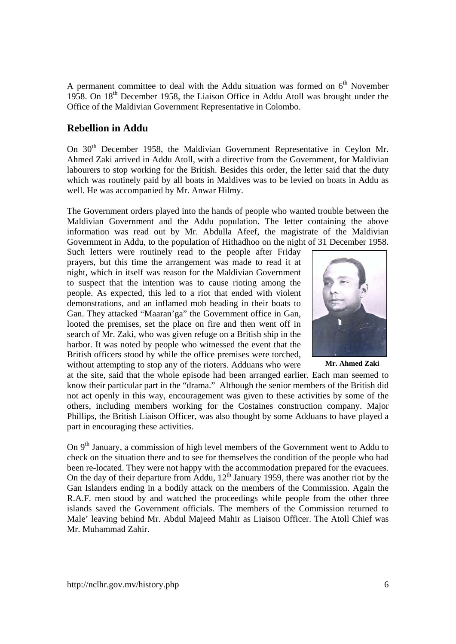A permanent committee to deal with the Addu situation was formed on  $6<sup>th</sup>$  November 1958. On  $18<sup>th</sup>$  December 1958, the Liaison Office in Addu Atoll was brought under the Office of the Maldivian Government Representative in Colombo.

### **Rebellion in Addu**

On 30<sup>th</sup> December 1958, the Maldivian Government Representative in Ceylon Mr. Ahmed Zaki arrived in Addu Atoll, with a directive from the Government, for Maldivian labourers to stop working for the British. Besides this order, the letter said that the duty which was routinely paid by all boats in Maldives was to be levied on boats in Addu as well. He was accompanied by Mr. Anwar Hilmy.

The Government orders played into the hands of people who wanted trouble between the Maldivian Government and the Addu population. The letter containing the above information was read out by Mr. Abdulla Afeef, the magistrate of the Maldivian Government in Addu, to the population of Hithadhoo on the night of 31 December 1958.

Such letters were routinely read to the people after Friday prayers, but this time the arrangement was made to read it at night, which in itself was reason for the Maldivian Government to suspect that the intention was to cause rioting among the people. As expected, this led to a riot that ended with violent demonstrations, and an inflamed mob heading in their boats to Gan. They attacked "Maaran'ga" the Government office in Gan, looted the premises, set the place on fire and then went off in search of Mr. Zaki, who was given refuge on a British ship in the harbor. It was noted by people who witnessed the event that the British officers stood by while the office premises were torched, without attempting to stop any of the rioters. Adduans who were



**Mr. Ahmed Zaki** 

at the site, said that the whole episode had been arranged earlier. Each man seemed to know their particular part in the "drama." Although the senior members of the British did not act openly in this way, encouragement was given to these activities by some of the others, including members working for the Costaines construction company. Major Phillips, the British Liaison Officer, was also thought by some Adduans to have played a part in encouraging these activities.

On  $9<sup>th</sup>$  January, a commission of high level members of the Government went to Addu to check on the situation there and to see for themselves the condition of the people who had been re-located. They were not happy with the accommodation prepared for the evacuees. On the day of their departure from Addu,  $12<sup>th</sup>$  January 1959, there was another riot by the Gan Islanders ending in a bodily attack on the members of the Commission. Again the R.A.F. men stood by and watched the proceedings while people from the other three islands saved the Government officials. The members of the Commission returned to Male' leaving behind Mr. Abdul Majeed Mahir as Liaison Officer. The Atoll Chief was Mr. Muhammad Zahir.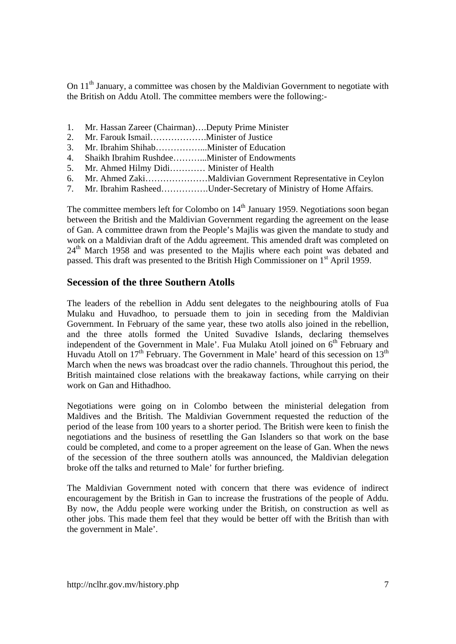On 11<sup>th</sup> January, a committee was chosen by the Maldivian Government to negotiate with the British on Addu Atoll. The committee members were the following:-

- 1. Mr. Hassan Zareer (Chairman)….Deputy Prime Minister
- 2. Mr. Farouk Ismail……………….Minister of Justice
- 3. Mr. Ibrahim Shihab……………...Minister of Education
- 4. Shaikh Ibrahim Rushdee………...Minister of Endowments
- 5. Mr. Ahmed Hilmy Didi………… Minister of Health
- 6. Mr. Ahmed Zaki…………………Maldivian Government Representative in Ceylon
- 7. Mr. Ibrahim Rasheed…………….Under-Secretary of Ministry of Home Affairs.

The committee members left for Colombo on  $14<sup>th</sup>$  January 1959. Negotiations soon began between the British and the Maldivian Government regarding the agreement on the lease of Gan. A committee drawn from the People's Majlis was given the mandate to study and work on a Maldivian draft of the Addu agreement. This amended draft was completed on 24<sup>th</sup> March 1958 and was presented to the Majlis where each point was debated and passed. This draft was presented to the British High Commissioner on 1<sup>st</sup> April 1959.

### **Secession of the three Southern Atolls**

The leaders of the rebellion in Addu sent delegates to the neighbouring atolls of Fua Mulaku and Huvadhoo, to persuade them to join in seceding from the Maldivian Government. In February of the same year, these two atolls also joined in the rebellion, and the three atolls formed the United Suvadive Islands, declaring themselves independent of the Government in Male'. Fua Mulaku Atoll joined on  $6<sup>th</sup>$  February and Huvadu Atoll on  $17<sup>th</sup>$  February. The Government in Male' heard of this secession on  $13<sup>th</sup>$ March when the news was broadcast over the radio channels. Throughout this period, the British maintained close relations with the breakaway factions, while carrying on their work on Gan and Hithadhoo.

Negotiations were going on in Colombo between the ministerial delegation from Maldives and the British. The Maldivian Government requested the reduction of the period of the lease from 100 years to a shorter period. The British were keen to finish the negotiations and the business of resettling the Gan Islanders so that work on the base could be completed, and come to a proper agreement on the lease of Gan. When the news of the secession of the three southern atolls was announced, the Maldivian delegation broke off the talks and returned to Male' for further briefing.

The Maldivian Government noted with concern that there was evidence of indirect encouragement by the British in Gan to increase the frustrations of the people of Addu. By now, the Addu people were working under the British, on construction as well as other jobs. This made them feel that they would be better off with the British than with the government in Male'.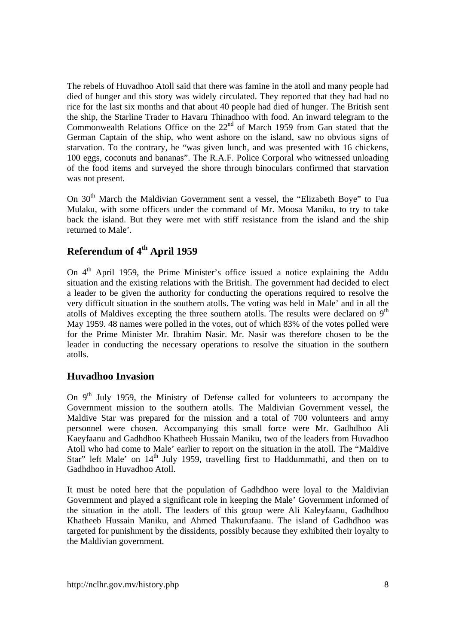The rebels of Huvadhoo Atoll said that there was famine in the atoll and many people had died of hunger and this story was widely circulated. They reported that they had had no rice for the last six months and that about 40 people had died of hunger. The British sent the ship, the Starline Trader to Havaru Thinadhoo with food. An inward telegram to the Commonwealth Relations Office on the  $22<sup>nd</sup>$  of March 1959 from Gan stated that the German Captain of the ship, who went ashore on the island, saw no obvious signs of starvation. To the contrary, he "was given lunch, and was presented with 16 chickens, 100 eggs, coconuts and bananas". The R.A.F. Police Corporal who witnessed unloading of the food items and surveyed the shore through binoculars confirmed that starvation was not present.

On 30<sup>th</sup> March the Maldivian Government sent a vessel, the "Elizabeth Boye" to Fua Mulaku, with some officers under the command of Mr. Moosa Maniku, to try to take back the island. But they were met with stiff resistance from the island and the ship returned to Male'.

# **Referendum of 4th April 1959**

On  $4<sup>th</sup>$  April 1959, the Prime Minister's office issued a notice explaining the Addu situation and the existing relations with the British. The government had decided to elect a leader to be given the authority for conducting the operations required to resolve the very difficult situation in the southern atolls. The voting was held in Male' and in all the atolls of Maldives excepting the three southern atolls. The results were declared on  $9<sup>th</sup>$ May 1959. 48 names were polled in the votes, out of which 83% of the votes polled were for the Prime Minister Mr. Ibrahim Nasir. Mr. Nasir was therefore chosen to be the leader in conducting the necessary operations to resolve the situation in the southern atolls.

# **Huvadhoo Invasion**

On  $9<sup>th</sup>$  July 1959, the Ministry of Defense called for volunteers to accompany the Government mission to the southern atolls. The Maldivian Government vessel, the Maldive Star was prepared for the mission and a total of 700 volunteers and army personnel were chosen. Accompanying this small force were Mr. Gadhdhoo Ali Kaeyfaanu and Gadhdhoo Khatheeb Hussain Maniku, two of the leaders from Huvadhoo Atoll who had come to Male' earlier to report on the situation in the atoll. The "Maldive Star" left Male' on  $14<sup>th</sup>$  July 1959, travelling first to Haddummathi, and then on to Gadhdhoo in Huvadhoo Atoll.

It must be noted here that the population of Gadhdhoo were loyal to the Maldivian Government and played a significant role in keeping the Male' Government informed of the situation in the atoll. The leaders of this group were Ali Kaleyfaanu, Gadhdhoo Khatheeb Hussain Maniku, and Ahmed Thakurufaanu. The island of Gadhdhoo was targeted for punishment by the dissidents, possibly because they exhibited their loyalty to the Maldivian government.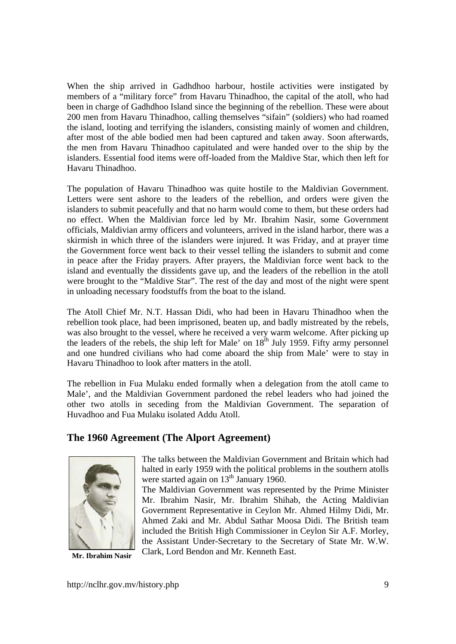When the ship arrived in Gadhdhoo harbour, hostile activities were instigated by members of a "military force" from Havaru Thinadhoo, the capital of the atoll, who had been in charge of Gadhdhoo Island since the beginning of the rebellion. These were about 200 men from Havaru Thinadhoo, calling themselves "sifain" (soldiers) who had roamed the island, looting and terrifying the islanders, consisting mainly of women and children, after most of the able bodied men had been captured and taken away. Soon afterwards, the men from Havaru Thinadhoo capitulated and were handed over to the ship by the islanders. Essential food items were off-loaded from the Maldive Star, which then left for Havaru Thinadhoo.

The population of Havaru Thinadhoo was quite hostile to the Maldivian Government. Letters were sent ashore to the leaders of the rebellion, and orders were given the islanders to submit peacefully and that no harm would come to them, but these orders had no effect. When the Maldivian force led by Mr. Ibrahim Nasir, some Government officials, Maldivian army officers and volunteers, arrived in the island harbor, there was a skirmish in which three of the islanders were injured. It was Friday, and at prayer time the Government force went back to their vessel telling the islanders to submit and come in peace after the Friday prayers. After prayers, the Maldivian force went back to the island and eventually the dissidents gave up, and the leaders of the rebellion in the atoll were brought to the "Maldive Star". The rest of the day and most of the night were spent in unloading necessary foodstuffs from the boat to the island.

The Atoll Chief Mr. N.T. Hassan Didi, who had been in Havaru Thinadhoo when the rebellion took place, had been imprisoned, beaten up, and badly mistreated by the rebels, was also brought to the vessel, where he received a very warm welcome. After picking up the leaders of the rebels, the ship left for Male' on  $18<sup>th</sup>$  July 1959. Fifty army personnel and one hundred civilians who had come aboard the ship from Male' were to stay in Havaru Thinadhoo to look after matters in the atoll.

The rebellion in Fua Mulaku ended formally when a delegation from the atoll came to Male', and the Maldivian Government pardoned the rebel leaders who had joined the other two atolls in seceding from the Maldivian Government. The separation of Huvadhoo and Fua Mulaku isolated Addu Atoll.

# **The 1960 Agreement (The Alport Agreement)**



**Mr. Ibrahim Nasir** 

The talks between the Maldivian Government and Britain which had halted in early 1959 with the political problems in the southern atolls were started again on  $13<sup>th</sup>$  January 1960.

The Maldivian Government was represented by the Prime Minister Mr. Ibrahim Nasir, Mr. Ibrahim Shihab, the Acting Maldivian Government Representative in Ceylon Mr. Ahmed Hilmy Didi, Mr. Ahmed Zaki and Mr. Abdul Sathar Moosa Didi. The British team included the British High Commissioner in Ceylon Sir A.F. Morley, the Assistant Under-Secretary to the Secretary of State Mr. W.W. Clark, Lord Bendon and Mr. Kenneth East.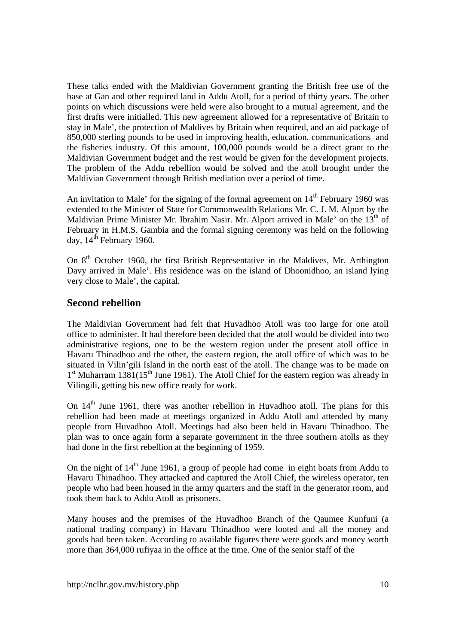These talks ended with the Maldivian Government granting the British free use of the base at Gan and other required land in Addu Atoll, for a period of thirty years. The other points on which discussions were held were also brought to a mutual agreement, and the first drafts were initialled. This new agreement allowed for a representative of Britain to stay in Male', the protection of Maldives by Britain when required, and an aid package of 850,000 sterling pounds to be used in improving health, education, communications and the fisheries industry. Of this amount, 100,000 pounds would be a direct grant to the Maldivian Government budget and the rest would be given for the development projects. The problem of the Addu rebellion would be solved and the atoll brought under the Maldivian Government through British mediation over a period of time.

An invitation to Male' for the signing of the formal agreement on  $14<sup>th</sup>$  February 1960 was extended to the Minister of State for Commonwealth Relations Mr. C. J. M. Alport by the Maldivian Prime Minister Mr. Ibrahim Nasir. Mr. Alport arrived in Male' on the  $13<sup>th</sup>$  of February in H.M.S. Gambia and the formal signing ceremony was held on the following day,  $14^{th}$  February 1960.

On 8<sup>th</sup> October 1960, the first British Representative in the Maldives, Mr. Arthington Davy arrived in Male'. His residence was on the island of Dhoonidhoo, an island lying very close to Male', the capital.

# **Second rebellion**

The Maldivian Government had felt that Huvadhoo Atoll was too large for one atoll office to administer. It had therefore been decided that the atoll would be divided into two administrative regions, one to be the western region under the present atoll office in Havaru Thinadhoo and the other, the eastern region, the atoll office of which was to be situated in Vilin'gili Island in the north east of the atoll. The change was to be made on  $1<sup>st</sup>$  Muharram  $1381(15<sup>th</sup>$  June 1961). The Atoll Chief for the eastern region was already in Vilingili, getting his new office ready for work.

On  $14<sup>th</sup>$  June 1961, there was another rebellion in Huvadhoo atoll. The plans for this rebellion had been made at meetings organized in Addu Atoll and attended by many people from Huvadhoo Atoll. Meetings had also been held in Havaru Thinadhoo. The plan was to once again form a separate government in the three southern atolls as they had done in the first rebellion at the beginning of 1959.

On the night of  $14<sup>th</sup>$  June 1961, a group of people had come in eight boats from Addu to Havaru Thinadhoo. They attacked and captured the Atoll Chief, the wireless operator, ten people who had been housed in the army quarters and the staff in the generator room, and took them back to Addu Atoll as prisoners.

Many houses and the premises of the Huvadhoo Branch of the Qaumee Kunfuni (a national trading company) in Havaru Thinadhoo were looted and all the money and goods had been taken. According to available figures there were goods and money worth more than 364,000 rufiyaa in the office at the time. One of the senior staff of the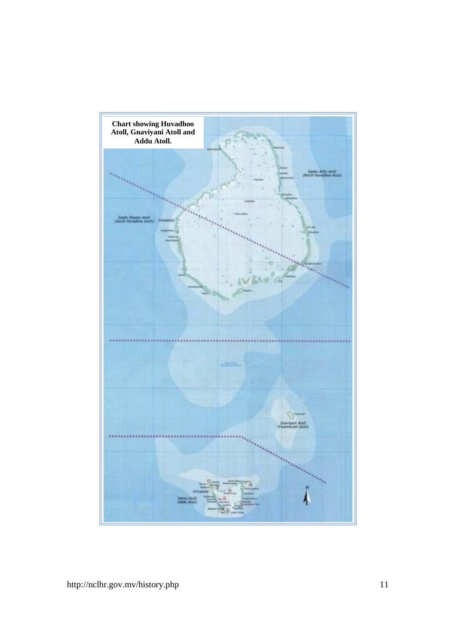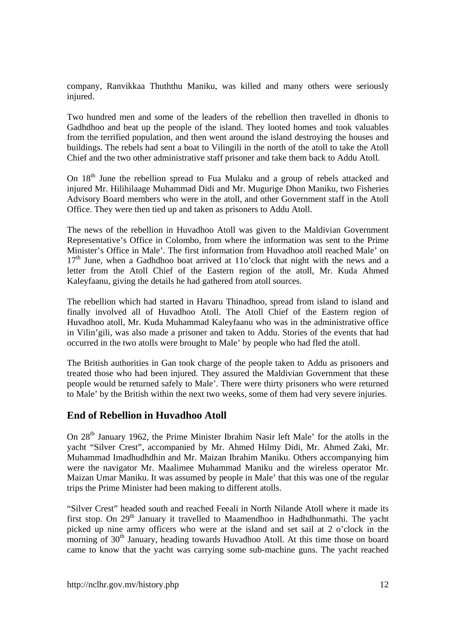company, Ranvikkaa Thuththu Maniku, was killed and many others were seriously injured.

Two hundred men and some of the leaders of the rebellion then travelled in dhonis to Gadhdhoo and beat up the people of the island. They looted homes and took valuables from the terrified population, and then went around the island destroying the houses and buildings. The rebels had sent a boat to Vilingili in the north of the atoll to take the Atoll Chief and the two other administrative staff prisoner and take them back to Addu Atoll.

On 18<sup>th</sup> June the rebellion spread to Fua Mulaku and a group of rebels attacked and injured Mr. Hilihilaage Muhammad Didi and Mr. Mugurige Dhon Maniku, two Fisheries Advisory Board members who were in the atoll, and other Government staff in the Atoll Office. They were then tied up and taken as prisoners to Addu Atoll.

The news of the rebellion in Huvadhoo Atoll was given to the Maldivian Government Representative's Office in Colombo, from where the information was sent to the Prime Minister's Office in Male'. The first information from Huvadhoo atoll reached Male' on  $17<sup>th</sup>$  June, when a Gadhdhoo boat arrived at 11o'clock that night with the news and a letter from the Atoll Chief of the Eastern region of the atoll, Mr. Kuda Ahmed Kaleyfaanu, giving the details he had gathered from atoll sources.

The rebellion which had started in Havaru Thinadhoo, spread from island to island and finally involved all of Huvadhoo Atoll. The Atoll Chief of the Eastern region of Huvadhoo atoll, Mr. Kuda Muhammad Kaleyfaanu who was in the administrative office in Vilin'gili, was also made a prisoner and taken to Addu. Stories of the events that had occurred in the two atolls were brought to Male' by people who had fled the atoll.

The British authorities in Gan took charge of the people taken to Addu as prisoners and treated those who had been injured. They assured the Maldivian Government that these people would be returned safely to Male'. There were thirty prisoners who were returned to Male' by the British within the next two weeks, some of them had very severe injuries.

### **End of Rebellion in Huvadhoo Atoll**

On 28<sup>th</sup> January 1962, the Prime Minister Ibrahim Nasir left Male' for the atolls in the yacht "Silver Crest", accompanied by Mr. Ahmed Hilmy Didi, Mr. Ahmed Zaki, Mr. Muhammad Imadhudhdhin and Mr. Maizan Ibrahim Maniku. Others accompanying him were the navigator Mr. Maalimee Muhammad Maniku and the wireless operator Mr. Maizan Umar Maniku. It was assumed by people in Male' that this was one of the regular trips the Prime Minister had been making to different atolls.

"Silver Crest" headed south and reached Feeali in North Nilande Atoll where it made its first stop. On  $29<sup>th</sup>$  January it travelled to Maamendhoo in Hadhdhunmathi. The yacht picked up nine army officers who were at the island and set sail at 2 o'clock in the morning of 30<sup>th</sup> January, heading towards Huvadhoo Atoll. At this time those on board came to know that the yacht was carrying some sub-machine guns. The yacht reached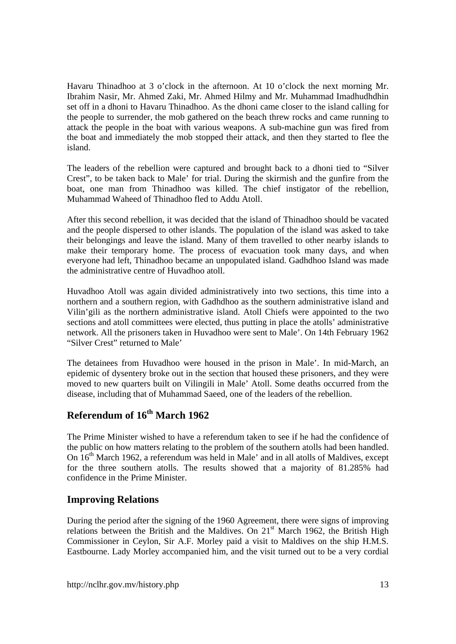Havaru Thinadhoo at 3 o'clock in the afternoon. At 10 o'clock the next morning Mr. Ibrahim Nasir, Mr. Ahmed Zaki, Mr. Ahmed Hilmy and Mr. Muhammad Imadhudhdhin set off in a dhoni to Havaru Thinadhoo. As the dhoni came closer to the island calling for the people to surrender, the mob gathered on the beach threw rocks and came running to attack the people in the boat with various weapons. A sub-machine gun was fired from the boat and immediately the mob stopped their attack, and then they started to flee the island.

The leaders of the rebellion were captured and brought back to a dhoni tied to "Silver Crest", to be taken back to Male' for trial. During the skirmish and the gunfire from the boat, one man from Thinadhoo was killed. The chief instigator of the rebellion, Muhammad Waheed of Thinadhoo fled to Addu Atoll.

After this second rebellion, it was decided that the island of Thinadhoo should be vacated and the people dispersed to other islands. The population of the island was asked to take their belongings and leave the island. Many of them travelled to other nearby islands to make their temporary home. The process of evacuation took many days, and when everyone had left, Thinadhoo became an unpopulated island. Gadhdhoo Island was made the administrative centre of Huvadhoo atoll.

Huvadhoo Atoll was again divided administratively into two sections, this time into a northern and a southern region, with Gadhdhoo as the southern administrative island and Vilin'gili as the northern administrative island. Atoll Chiefs were appointed to the two sections and atoll committees were elected, thus putting in place the atolls' administrative network. All the prisoners taken in Huvadhoo were sent to Male'. On 14th February 1962 "Silver Crest" returned to Male'

The detainees from Huvadhoo were housed in the prison in Male'. In mid-March, an epidemic of dysentery broke out in the section that housed these prisoners, and they were moved to new quarters built on Vilingili in Male' Atoll. Some deaths occurred from the disease, including that of Muhammad Saeed, one of the leaders of the rebellion.

# **Referendum of 16th March 1962**

The Prime Minister wished to have a referendum taken to see if he had the confidence of the public on how matters relating to the problem of the southern atolls had been handled. On 16<sup>th</sup> March 1962, a referendum was held in Male' and in all atolls of Maldives, except for the three southern atolls. The results showed that a majority of 81.285% had confidence in the Prime Minister.

# **Improving Relations**

During the period after the signing of the 1960 Agreement, there were signs of improving relations between the British and the Maldives. On  $21<sup>st</sup>$  March 1962, the British High Commissioner in Ceylon, Sir A.F. Morley paid a visit to Maldives on the ship H.M.S. Eastbourne. Lady Morley accompanied him, and the visit turned out to be a very cordial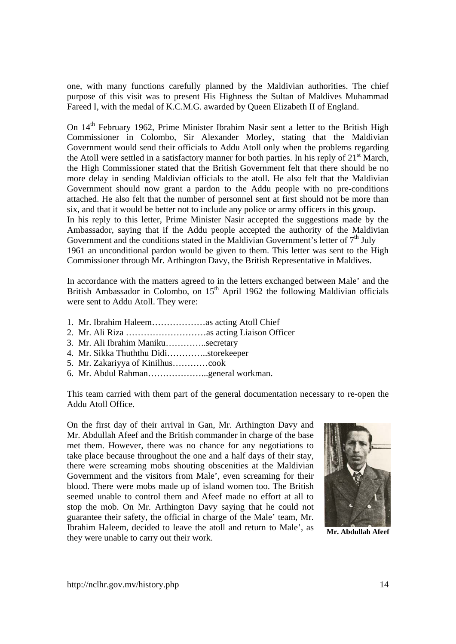one, with many functions carefully planned by the Maldivian authorities. The chief purpose of this visit was to present His Highness the Sultan of Maldives Muhammad Fareed I, with the medal of K.C.M.G. awarded by Queen Elizabeth II of England.

On 14<sup>th</sup> February 1962, Prime Minister Ibrahim Nasir sent a letter to the British High Commissioner in Colombo, Sir Alexander Morley, stating that the Maldivian Government would send their officials to Addu Atoll only when the problems regarding the Atoll were settled in a satisfactory manner for both parties. In his reply of  $21<sup>st</sup>$  March, the High Commissioner stated that the British Government felt that there should be no more delay in sending Maldivian officials to the atoll. He also felt that the Maldivian Government should now grant a pardon to the Addu people with no pre-conditions attached. He also felt that the number of personnel sent at first should not be more than six, and that it would be better not to include any police or army officers in this group. In his reply to this letter, Prime Minister Nasir accepted the suggestions made by the Ambassador, saying that if the Addu people accepted the authority of the Maldivian Government and the conditions stated in the Maldivian Government's letter of  $7<sup>th</sup>$  July 1961 an unconditional pardon would be given to them. This letter was sent to the High Commissioner through Mr. Arthington Davy, the British Representative in Maldives.

In accordance with the matters agreed to in the letters exchanged between Male' and the British Ambassador in Colombo, on  $15<sup>th</sup>$  April 1962 the following Maldivian officials were sent to Addu Atoll. They were:

- 1. Mr. Ibrahim Haleem………………as acting Atoll Chief
- 2. Mr. Ali Riza ………………………as acting Liaison Officer
- 3. Mr. Ali Ibrahim Maniku…………..secretary
- 4. Mr. Sikka Thuththu Didi…………..storekeeper
- 5. Mr. Zakariyya of Kinilhus…………cook
- 6. Mr. Abdul Rahman………………...general workman.

This team carried with them part of the general documentation necessary to re-open the Addu Atoll Office.

On the first day of their arrival in Gan, Mr. Arthington Davy and Mr. Abdullah Afeef and the British commander in charge of the base met them. However, there was no chance for any negotiations to take place because throughout the one and a half days of their stay, there were screaming mobs shouting obscenities at the Maldivian Government and the visitors from Male', even screaming for their blood. There were mobs made up of island women too. The British seemed unable to control them and Afeef made no effort at all to stop the mob. On Mr. Arthington Davy saying that he could not guarantee their safety, the official in charge of the Male' team, Mr. Ibrahim Haleem, decided to leave the atoll and return to Male', as they were unable to carry out their work.



**Mr. Abdullah Afeef**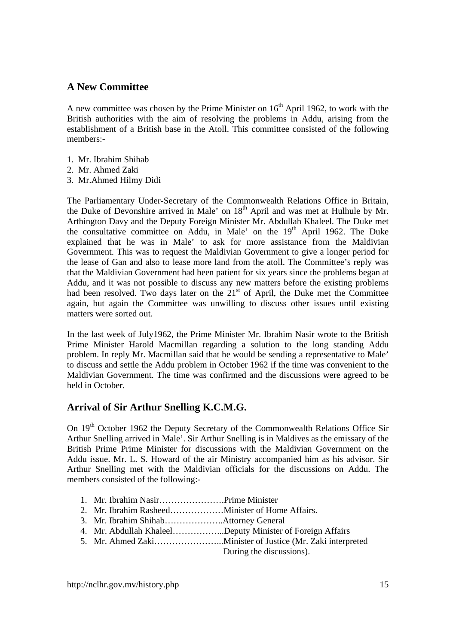### **A New Committee**

A new committee was chosen by the Prime Minister on  $16<sup>th</sup>$  April 1962, to work with the British authorities with the aim of resolving the problems in Addu, arising from the establishment of a British base in the Atoll. This committee consisted of the following members:-

- 1. Mr. Ibrahim Shihab
- 2. Mr. Ahmed Zaki
- 3. Mr.Ahmed Hilmy Didi

The Parliamentary Under-Secretary of the Commonwealth Relations Office in Britain, the Duke of Devonshire arrived in Male' on 18<sup>th</sup> April and was met at Hulhule by Mr. Arthington Davy and the Deputy Foreign Minister Mr. Abdullah Khaleel. The Duke met the consultative committee on Addu, in Male' on the  $19<sup>th</sup>$  April 1962. The Duke explained that he was in Male' to ask for more assistance from the Maldivian Government. This was to request the Maldivian Government to give a longer period for the lease of Gan and also to lease more land from the atoll. The Committee's reply was that the Maldivian Government had been patient for six years since the problems began at Addu, and it was not possible to discuss any new matters before the existing problems had been resolved. Two days later on the 21<sup>st</sup> of April, the Duke met the Committee again, but again the Committee was unwilling to discuss other issues until existing matters were sorted out.

In the last week of July1962, the Prime Minister Mr. Ibrahim Nasir wrote to the British Prime Minister Harold Macmillan regarding a solution to the long standing Addu problem. In reply Mr. Macmillan said that he would be sending a representative to Male' to discuss and settle the Addu problem in October 1962 if the time was convenient to the Maldivian Government. The time was confirmed and the discussions were agreed to be held in October.

# **Arrival of Sir Arthur Snelling K.C.M.G.**

On 19<sup>th</sup> October 1962 the Deputy Secretary of the Commonwealth Relations Office Sir Arthur Snelling arrived in Male'. Sir Arthur Snelling is in Maldives as the emissary of the British Prime Prime Minister for discussions with the Maldivian Government on the Addu issue. Mr. L. S. Howard of the air Ministry accompanied him as his advisor. Sir Arthur Snelling met with the Maldivian officials for the discussions on Addu. The members consisted of the following:-

- 1. Mr. Ibrahim Nasir………………….Prime Minister
- 2. Mr. Ibrahim Rasheed………………Minister of Home Affairs.
- 3. Mr. Ibrahim Shihab………………..Attorney General
- 4. Mr. Abdullah Khaleel……………...Deputy Minister of Foreign Affairs
- 5. Mr. Ahmed Zaki…………………...Minister of Justice (Mr. Zaki interpreted

During the discussions).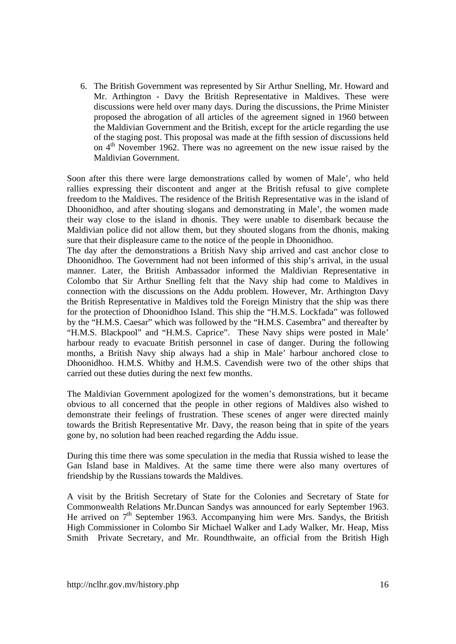6. The British Government was represented by Sir Arthur Snelling, Mr. Howard and Mr. Arthington - Davy the British Representative in Maldives. These were discussions were held over many days. During the discussions, the Prime Minister proposed the abrogation of all articles of the agreement signed in 1960 between the Maldivian Government and the British, except for the article regarding the use of the staging post. This proposal was made at the fifth session of discussions held on 4<sup>th</sup> November 1962. There was no agreement on the new issue raised by the Maldivian Government.

Soon after this there were large demonstrations called by women of Male', who held rallies expressing their discontent and anger at the British refusal to give complete freedom to the Maldives. The residence of the British Representative was in the island of Dhoonidhoo, and after shouting slogans and demonstrating in Male', the women made their way close to the island in dhonis. They were unable to disembark because the Maldivian police did not allow them, but they shouted slogans from the dhonis, making sure that their displeasure came to the notice of the people in Dhoonidhoo.

The day after the demonstrations a British Navy ship arrived and cast anchor close to Dhoonidhoo. The Government had not been informed of this ship's arrival, in the usual manner. Later, the British Ambassador informed the Maldivian Representative in Colombo that Sir Arthur Snelling felt that the Navy ship had come to Maldives in connection with the discussions on the Addu problem. However, Mr. Arthington Davy the British Representative in Maldives told the Foreign Ministry that the ship was there for the protection of Dhoonidhoo Island. This ship the "H.M.S. Lockfada" was followed by the "H.M.S. Caesar" which was followed by the "H.M.S. Casembra" and thereafter by "H.M.S. Blackpool" and "H.M.S. Caprice". These Navy ships were posted in Male' harbour ready to evacuate British personnel in case of danger. During the following months, a British Navy ship always had a ship in Male' harbour anchored close to Dhoonidhoo. H.M.S. Whitby and H.M.S. Cavendish were two of the other ships that carried out these duties during the next few months.

The Maldivian Government apologized for the women's demonstrations, but it became obvious to all concerned that the people in other regions of Maldives also wished to demonstrate their feelings of frustration. These scenes of anger were directed mainly towards the British Representative Mr. Davy, the reason being that in spite of the years gone by, no solution had been reached regarding the Addu issue.

During this time there was some speculation in the media that Russia wished to lease the Gan Island base in Maldives. At the same time there were also many overtures of friendship by the Russians towards the Maldives.

A visit by the British Secretary of State for the Colonies and Secretary of State for Commonwealth Relations Mr.Duncan Sandys was announced for early September 1963. He arrived on  $7<sup>th</sup>$  September 1963. Accompanying him were Mrs. Sandys, the British High Commissioner in Colombo Sir Michael Walker and Lady Walker, Mr. Heap, Miss Smith Private Secretary, and Mr. Roundthwaite, an official from the British High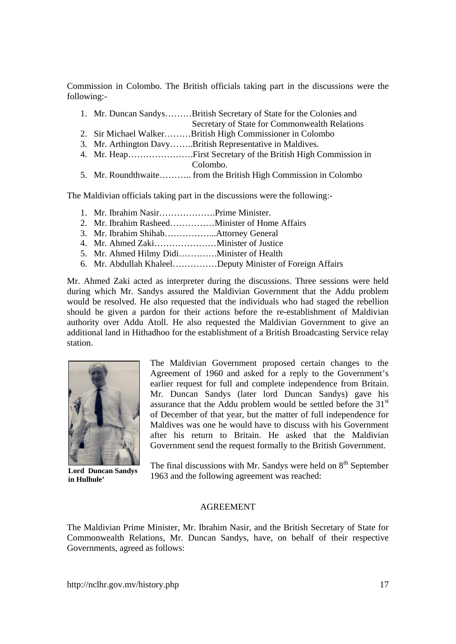Commission in Colombo. The British officials taking part in the discussions were the following:-

- 1. Mr. Duncan Sandys………British Secretary of State for the Colonies and Secretary of State for Commonwealth Relations
- 2. Sir Michael Walker………British High Commissioner in Colombo
- 3. Mr. Arthington Davy……..British Representative in Maldives.
- 4. Mr. Heap………………….First Secretary of the British High Commission in Colombo.
- 5. Mr. Roundthwaite……….. from the British High Commission in Colombo

The Maldivian officials taking part in the discussions were the following:-

- 1. Mr. Ibrahim Nasir……………….Prime Minister.
- 2. Mr. Ibrahim Rasheed……………Minister of Home Affairs
- 3. Mr. Ibrahim Shihab……………...Attorney General
- 4. Mr. Ahmed Zaki…………………Minister of Justice
- 5. Mr. Ahmed Hilmy Didi………….Minister of Health
- 6. Mr. Abdullah Khaleel……………Deputy Minister of Foreign Affairs

Mr. Ahmed Zaki acted as interpreter during the discussions. Three sessions were held during which Mr. Sandys assured the Maldivian Government that the Addu problem would be resolved. He also requested that the individuals who had staged the rebellion should be given a pardon for their actions before the re-establishment of Maldivian authority over Addu Atoll. He also requested the Maldivian Government to give an additional land in Hithadhoo for the establishment of a British Broadcasting Service relay station.



**Lord Duncan Sandys in Hulhule'** 

The Maldivian Government proposed certain changes to the Agreement of 1960 and asked for a reply to the Government's earlier request for full and complete independence from Britain. Mr. Duncan Sandys (later lord Duncan Sandys) gave his assurance that the Addu problem would be settled before the  $31<sup>st</sup>$ of December of that year, but the matter of full independence for Maldives was one he would have to discuss with his Government after his return to Britain. He asked that the Maldivian Government send the request formally to the British Government.

The final discussions with Mr. Sandys were held on  $8<sup>th</sup>$  September 1963 and the following agreement was reached:

#### AGREEMENT

The Maldivian Prime Minister, Mr. Ibrahim Nasir, and the British Secretary of State for Commonwealth Relations, Mr. Duncan Sandys, have, on behalf of their respective Governments, agreed as follows: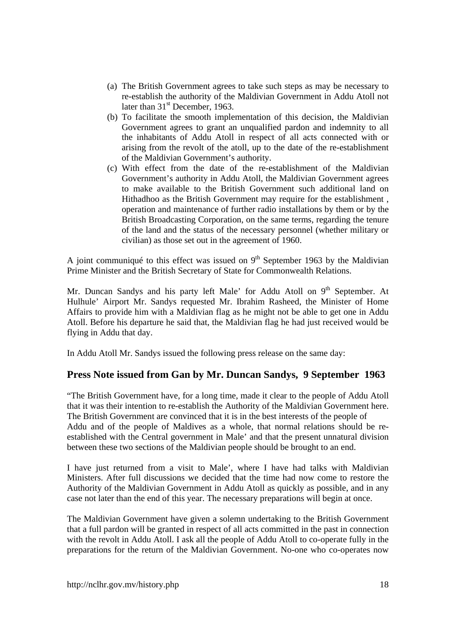- (a) The British Government agrees to take such steps as may be necessary to re-establish the authority of the Maldivian Government in Addu Atoll not later than  $31<sup>st</sup>$  December, 1963.
- (b) To facilitate the smooth implementation of this decision, the Maldivian Government agrees to grant an unqualified pardon and indemnity to all the inhabitants of Addu Atoll in respect of all acts connected with or arising from the revolt of the atoll, up to the date of the re-establishment of the Maldivian Government's authority.
- (c) With effect from the date of the re-establishment of the Maldivian Government's authority in Addu Atoll, the Maldivian Government agrees to make available to the British Government such additional land on Hithadhoo as the British Government may require for the establishment , operation and maintenance of further radio installations by them or by the British Broadcasting Corporation, on the same terms, regarding the tenure of the land and the status of the necessary personnel (whether military or civilian) as those set out in the agreement of 1960.

A joint communiqué to this effect was issued on  $9<sup>th</sup>$  September 1963 by the Maldivian Prime Minister and the British Secretary of State for Commonwealth Relations.

Mr. Duncan Sandys and his party left Male' for Addu Atoll on  $9<sup>th</sup>$  September. At Hulhule' Airport Mr. Sandys requested Mr. Ibrahim Rasheed, the Minister of Home Affairs to provide him with a Maldivian flag as he might not be able to get one in Addu Atoll. Before his departure he said that, the Maldivian flag he had just received would be flying in Addu that day.

In Addu Atoll Mr. Sandys issued the following press release on the same day:

# **Press Note issued from Gan by Mr. Duncan Sandys, 9 September 1963**

"The British Government have, for a long time, made it clear to the people of Addu Atoll that it was their intention to re-establish the Authority of the Maldivian Government here. The British Government are convinced that it is in the best interests of the people of Addu and of the people of Maldives as a whole, that normal relations should be reestablished with the Central government in Male' and that the present unnatural division between these two sections of the Maldivian people should be brought to an end.

I have just returned from a visit to Male', where I have had talks with Maldivian Ministers. After full discussions we decided that the time had now come to restore the Authority of the Maldivian Government in Addu Atoll as quickly as possible, and in any case not later than the end of this year. The necessary preparations will begin at once.

The Maldivian Government have given a solemn undertaking to the British Government that a full pardon will be granted in respect of all acts committed in the past in connection with the revolt in Addu Atoll. I ask all the people of Addu Atoll to co-operate fully in the preparations for the return of the Maldivian Government. No-one who co-operates now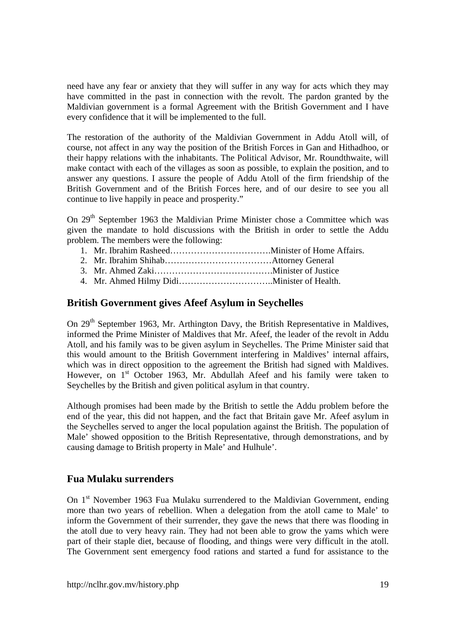need have any fear or anxiety that they will suffer in any way for acts which they may have committed in the past in connection with the revolt. The pardon granted by the Maldivian government is a formal Agreement with the British Government and I have every confidence that it will be implemented to the full.

The restoration of the authority of the Maldivian Government in Addu Atoll will, of course, not affect in any way the position of the British Forces in Gan and Hithadhoo, or their happy relations with the inhabitants. The Political Advisor, Mr. Roundthwaite, will make contact with each of the villages as soon as possible, to explain the position, and to answer any questions. I assure the people of Addu Atoll of the firm friendship of the British Government and of the British Forces here, and of our desire to see you all continue to live happily in peace and prosperity."

On 29<sup>th</sup> September 1963 the Maldivian Prime Minister chose a Committee which was given the mandate to hold discussions with the British in order to settle the Addu problem. The members were the following:

- 1. Mr. Ibrahim Rasheed…………………………….Minister of Home Affairs.
- 2. Mr. Ibrahim Shihab………………………………Attorney General
- 3. Mr. Ahmed Zaki………………………………….Minister of Justice
- 4. Mr. Ahmed Hilmy Didi…………………………..Minister of Health.

### **British Government gives Afeef Asylum in Seychelles**

On 29<sup>th</sup> September 1963, Mr. Arthington Davy, the British Representative in Maldives, informed the Prime Minister of Maldives that Mr. Afeef, the leader of the revolt in Addu Atoll, and his family was to be given asylum in Seychelles. The Prime Minister said that this would amount to the British Government interfering in Maldives' internal affairs, which was in direct opposition to the agreement the British had signed with Maldives. However, on  $1<sup>st</sup>$  October 1963, Mr. Abdullah Afeef and his family were taken to Seychelles by the British and given political asylum in that country.

Although promises had been made by the British to settle the Addu problem before the end of the year, this did not happen, and the fact that Britain gave Mr. Afeef asylum in the Seychelles served to anger the local population against the British. The population of Male' showed opposition to the British Representative, through demonstrations, and by causing damage to British property in Male' and Hulhule'.

### **Fua Mulaku surrenders**

On 1<sup>st</sup> November 1963 Fua Mulaku surrendered to the Maldivian Government, ending more than two years of rebellion. When a delegation from the atoll came to Male' to inform the Government of their surrender, they gave the news that there was flooding in the atoll due to very heavy rain. They had not been able to grow the yams which were part of their staple diet, because of flooding, and things were very difficult in the atoll. The Government sent emergency food rations and started a fund for assistance to the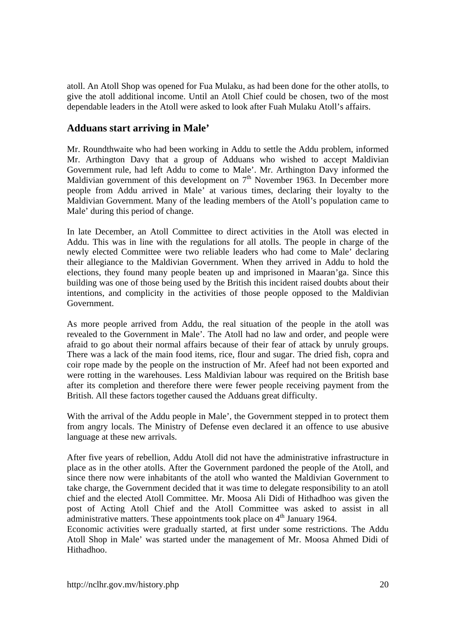atoll. An Atoll Shop was opened for Fua Mulaku, as had been done for the other atolls, to give the atoll additional income. Until an Atoll Chief could be chosen, two of the most dependable leaders in the Atoll were asked to look after Fuah Mulaku Atoll's affairs.

# **Adduans start arriving in Male'**

Mr. Roundthwaite who had been working in Addu to settle the Addu problem, informed Mr. Arthington Davy that a group of Adduans who wished to accept Maldivian Government rule, had left Addu to come to Male'. Mr. Arthington Davy informed the Maldivian government of this development on  $7<sup>th</sup>$  November 1963. In December more people from Addu arrived in Male' at various times, declaring their loyalty to the Maldivian Government. Many of the leading members of the Atoll's population came to Male' during this period of change.

In late December, an Atoll Committee to direct activities in the Atoll was elected in Addu. This was in line with the regulations for all atolls. The people in charge of the newly elected Committee were two reliable leaders who had come to Male' declaring their allegiance to the Maldivian Government. When they arrived in Addu to hold the elections, they found many people beaten up and imprisoned in Maaran'ga. Since this building was one of those being used by the British this incident raised doubts about their intentions, and complicity in the activities of those people opposed to the Maldivian Government.

As more people arrived from Addu, the real situation of the people in the atoll was revealed to the Government in Male'. The Atoll had no law and order, and people were afraid to go about their normal affairs because of their fear of attack by unruly groups. There was a lack of the main food items, rice, flour and sugar. The dried fish, copra and coir rope made by the people on the instruction of Mr. Afeef had not been exported and were rotting in the warehouses. Less Maldivian labour was required on the British base after its completion and therefore there were fewer people receiving payment from the British. All these factors together caused the Adduans great difficulty.

With the arrival of the Addu people in Male', the Government stepped in to protect them from angry locals. The Ministry of Defense even declared it an offence to use abusive language at these new arrivals.

After five years of rebellion, Addu Atoll did not have the administrative infrastructure in place as in the other atolls. After the Government pardoned the people of the Atoll, and since there now were inhabitants of the atoll who wanted the Maldivian Government to take charge, the Government decided that it was time to delegate responsibility to an atoll chief and the elected Atoll Committee. Mr. Moosa Ali Didi of Hithadhoo was given the post of Acting Atoll Chief and the Atoll Committee was asked to assist in all administrative matters. These appointments took place on  $4<sup>th</sup>$  January 1964.

Economic activities were gradually started, at first under some restrictions. The Addu Atoll Shop in Male' was started under the management of Mr. Moosa Ahmed Didi of Hithadhoo.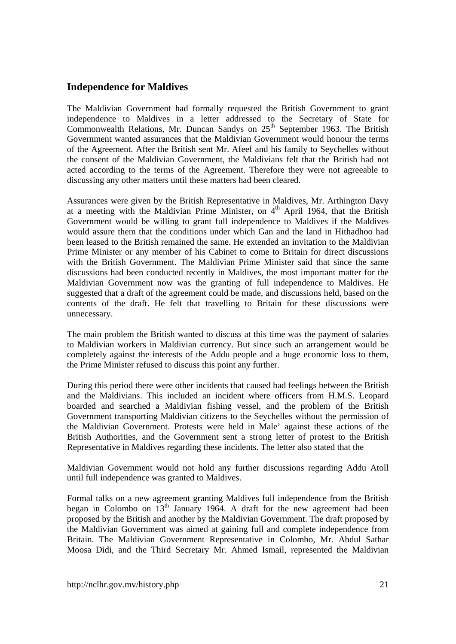### **Independence for Maldives**

The Maldivian Government had formally requested the British Government to grant independence to Maldives in a letter addressed to the Secretary of State for Commonwealth Relations, Mr. Duncan Sandys on  $25<sup>th</sup>$  September 1963. The British Government wanted assurances that the Maldivian Government would honour the terms of the Agreement. After the British sent Mr. Afeef and his family to Seychelles without the consent of the Maldivian Government, the Maldivians felt that the British had not acted according to the terms of the Agreement. Therefore they were not agreeable to discussing any other matters until these matters had been cleared.

Assurances were given by the British Representative in Maldives, Mr. Arthington Davy at a meeting with the Maldivian Prime Minister, on  $4<sup>th</sup>$  April 1964, that the British Government would be willing to grant full independence to Maldives if the Maldives would assure them that the conditions under which Gan and the land in Hithadhoo had been leased to the British remained the same. He extended an invitation to the Maldivian Prime Minister or any member of his Cabinet to come to Britain for direct discussions with the British Government. The Maldivian Prime Minister said that since the same discussions had been conducted recently in Maldives, the most important matter for the Maldivian Government now was the granting of full independence to Maldives. He suggested that a draft of the agreement could be made, and discussions held, based on the contents of the draft. He felt that travelling to Britain for these discussions were unnecessary.

The main problem the British wanted to discuss at this time was the payment of salaries to Maldivian workers in Maldivian currency. But since such an arrangement would be completely against the interests of the Addu people and a huge economic loss to them, the Prime Minister refused to discuss this point any further.

During this period there were other incidents that caused bad feelings between the British and the Maldivians. This included an incident where officers from H.M.S. Leopard boarded and searched a Maldivian fishing vessel, and the problem of the British Government transporting Maldivian citizens to the Seychelles without the permission of the Maldivian Government. Protests were held in Male' against these actions of the British Authorities, and the Government sent a strong letter of protest to the British Representative in Maldives regarding these incidents. The letter also stated that the

Maldivian Government would not hold any further discussions regarding Addu Atoll until full independence was granted to Maldives.

Formal talks on a new agreement granting Maldives full independence from the British began in Colombo on  $13<sup>th</sup>$  January 1964. A draft for the new agreement had been proposed by the British and another by the Maldivian Government. The draft proposed by the Maldivian Government was aimed at gaining full and complete independence from Britain. The Maldivian Government Representative in Colombo, Mr. Abdul Sathar Moosa Didi, and the Third Secretary Mr. Ahmed Ismail, represented the Maldivian